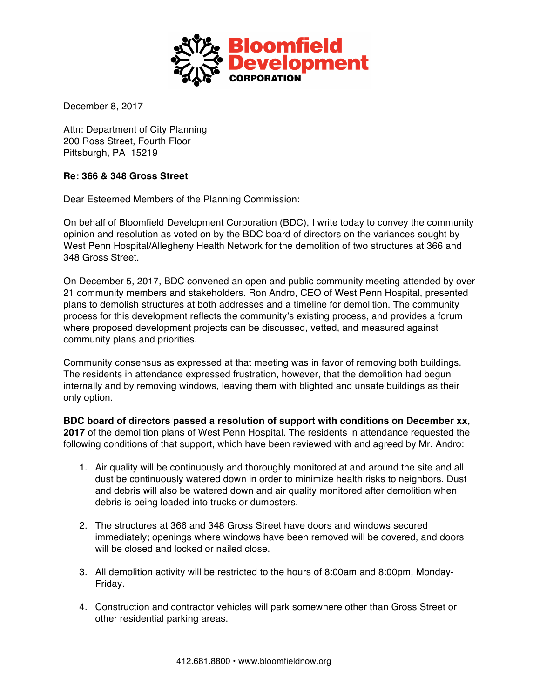

December 8, 2017

Attn: Department of City Planning 200 Ross Street, Fourth Floor Pittsburgh, PA 15219

## **Re: 366 & 348 Gross Street**

Dear Esteemed Members of the Planning Commission:

On behalf of Bloomfield Development Corporation (BDC), I write today to convey the community opinion and resolution as voted on by the BDC board of directors on the variances sought by West Penn Hospital/Allegheny Health Network for the demolition of two structures at 366 and 348 Gross Street.

On December 5, 2017, BDC convened an open and public community meeting attended by over 21 community members and stakeholders. Ron Andro, CEO of West Penn Hospital, presented plans to demolish structures at both addresses and a timeline for demolition. The community process for this development reflects the community's existing process, and provides a forum where proposed development projects can be discussed, vetted, and measured against community plans and priorities.

Community consensus as expressed at that meeting was in favor of removing both buildings. The residents in attendance expressed frustration, however, that the demolition had begun internally and by removing windows, leaving them with blighted and unsafe buildings as their only option.

**BDC board of directors passed a resolution of support with conditions on December xx, 2017** of the demolition plans of West Penn Hospital. The residents in attendance requested the following conditions of that support, which have been reviewed with and agreed by Mr. Andro:

- 1. Air quality will be continuously and thoroughly monitored at and around the site and all dust be continuously watered down in order to minimize health risks to neighbors. Dust and debris will also be watered down and air quality monitored after demolition when debris is being loaded into trucks or dumpsters.
- 2. The structures at 366 and 348 Gross Street have doors and windows secured immediately; openings where windows have been removed will be covered, and doors will be closed and locked or nailed close.
- 3. All demolition activity will be restricted to the hours of 8:00am and 8:00pm, Monday-Friday.
- 4. Construction and contractor vehicles will park somewhere other than Gross Street or other residential parking areas.